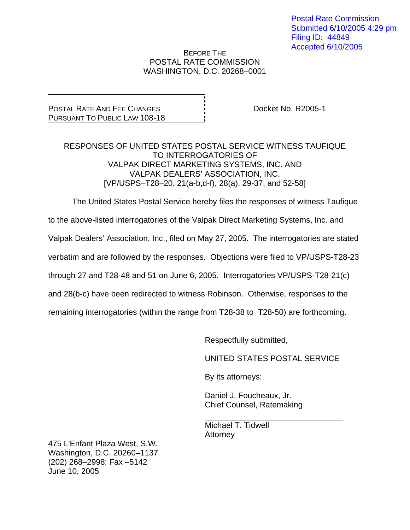Postal Rate Commission Submitted 6/10/2005 4:29 pm Filing ID: 44849 Accepted 6/10/2005

#### BEFORE THE POSTAL RATE COMMISSION WASHINGTON, D.C. 20268–0001

# POSTAL RATE AND FEE CHANGES PURSUANT TO PUBLIC LAW 108-18

Docket No. R2005-1

### RESPONSES OF UNITED STATES POSTAL SERVICE WITNESS TAUFIQUE TO INTERROGATORIES OF VALPAK DIRECT MARKETING SYSTEMS, INC. AND VALPAK DEALERS' ASSOCIATION, INC. [VP/USPS–T28–20, 21(a-b,d-f), 28(a), 29-37, and 52-58]

The United States Postal Service hereby files the responses of witness Taufique

to the above-listed interrogatories of the Valpak Direct Marketing Systems, Inc. and

Valpak Dealers' Association, Inc., filed on May 27, 2005. The interrogatories are stated

verbatim and are followed by the responses. Objections were filed to VP/USPS-T28-23

through 27 and T28-48 and 51 on June 6, 2005. Interrogatories VP/USPS-T28-21(c)

and 28(b-c) have been redirected to witness Robinson. Otherwise, responses to the

remaining interrogatories (within the range from T28-38 to T28-50) are forthcoming.

 $\overline{\phantom{a}}$  , and the contract of the contract of the contract of the contract of the contract of the contract of the contract of the contract of the contract of the contract of the contract of the contract of the contrac

Respectfully submitted,

UNITED STATES POSTAL SERVICE

By its attorneys:

 Daniel J. Foucheaux, Jr. Chief Counsel, Ratemaking

 Michael T. Tidwell **Attorney** 

475 L'Enfant Plaza West, S.W. Washington, D.C. 20260–1137 (202) 268–2998; Fax –5142 June 10, 2005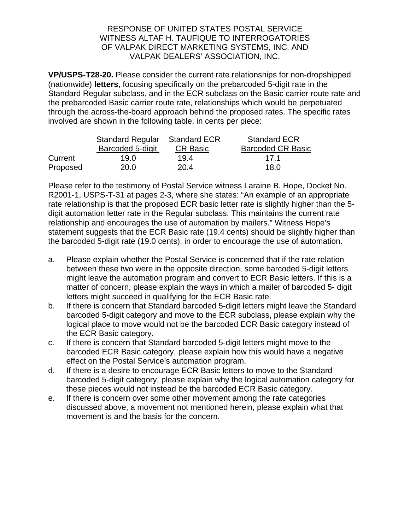**VP/USPS-T28-20.** Please consider the current rate relationships for non-dropshipped (nationwide) **letters**, focusing specifically on the prebarcoded 5-digit rate in the Standard Regular subclass, and in the ECR subclass on the Basic carrier route rate and the prebarcoded Basic carrier route rate, relationships which would be perpetuated through the across-the-board approach behind the proposed rates. The specific rates involved are shown in the following table, in cents per piece:

|          | Standard Regular Standard ECR |                 | <b>Standard ECR</b>      |
|----------|-------------------------------|-----------------|--------------------------|
|          | <b>Barcoded 5-digit</b>       | <b>CR Basic</b> | <b>Barcoded CR Basic</b> |
| Current  | 19.0                          | 194             | 17 1                     |
| Proposed | 20.0                          | 20.4            | 18.0                     |

Please refer to the testimony of Postal Service witness Laraine B. Hope, Docket No. R2001-1, USPS-T-31 at pages 2-3, where she states: "An example of an appropriate rate relationship is that the proposed ECR basic letter rate is slightly higher than the 5 digit automation letter rate in the Regular subclass. This maintains the current rate relationship and encourages the use of automation by mailers." Witness Hope's statement suggests that the ECR Basic rate (19.4 cents) should be slightly higher than the barcoded 5-digit rate (19.0 cents), in order to encourage the use of automation.

- a. Please explain whether the Postal Service is concerned that if the rate relation between these two were in the opposite direction, some barcoded 5-digit letters might leave the automation program and convert to ECR Basic letters. If this is a matter of concern, please explain the ways in which a mailer of barcoded 5- digit letters might succeed in qualifying for the ECR Basic rate.
- b. If there is concern that Standard barcoded 5-digit letters might leave the Standard barcoded 5-digit category and move to the ECR subclass, please explain why the logical place to move would not be the barcoded ECR Basic category instead of the ECR Basic category.
- c. If there is concern that Standard barcoded 5-digit letters might move to the barcoded ECR Basic category, please explain how this would have a negative effect on the Postal Service's automation program.
- d. If there is a desire to encourage ECR Basic letters to move to the Standard barcoded 5-digit category, please explain why the logical automation category for these pieces would not instead be the barcoded ECR Basic category.
- e. If there is concern over some other movement among the rate categories discussed above, a movement not mentioned herein, please explain what that movement is and the basis for the concern.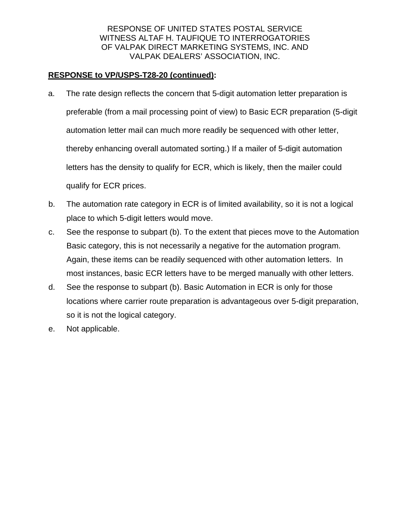# **RESPONSE to VP/USPS-T28-20 (continued):**

- a. The rate design reflects the concern that 5-digit automation letter preparation is preferable (from a mail processing point of view) to Basic ECR preparation (5-digit automation letter mail can much more readily be sequenced with other letter, thereby enhancing overall automated sorting.) If a mailer of 5-digit automation letters has the density to qualify for ECR, which is likely, then the mailer could qualify for ECR prices.
- b. The automation rate category in ECR is of limited availability, so it is not a logical place to which 5-digit letters would move.
- c. See the response to subpart (b). To the extent that pieces move to the Automation Basic category, this is not necessarily a negative for the automation program. Again, these items can be readily sequenced with other automation letters. In most instances, basic ECR letters have to be merged manually with other letters.
- d. See the response to subpart (b). Basic Automation in ECR is only for those locations where carrier route preparation is advantageous over 5-digit preparation, so it is not the logical category.
- e. Not applicable.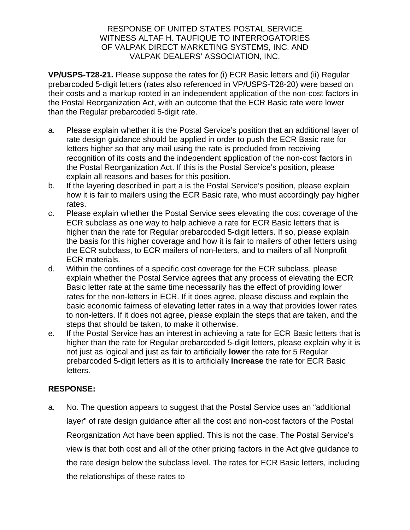**VP/USPS-T28-21.** Please suppose the rates for (i) ECR Basic letters and (ii) Regular prebarcoded 5-digit letters (rates also referenced in VP/USPS-T28-20) were based on their costs and a markup rooted in an independent application of the non-cost factors in the Postal Reorganization Act, with an outcome that the ECR Basic rate were lower than the Regular prebarcoded 5-digit rate.

- a. Please explain whether it is the Postal Service's position that an additional layer of rate design guidance should be applied in order to push the ECR Basic rate for letters higher so that any mail using the rate is precluded from receiving recognition of its costs and the independent application of the non-cost factors in the Postal Reorganization Act. If this is the Postal Service's position, please explain all reasons and bases for this position.
- b. If the layering described in part a is the Postal Service's position, please explain how it is fair to mailers using the ECR Basic rate, who must accordingly pay higher rates.
- c. Please explain whether the Postal Service sees elevating the cost coverage of the ECR subclass as one way to help achieve a rate for ECR Basic letters that is higher than the rate for Regular prebarcoded 5-digit letters. If so, please explain the basis for this higher coverage and how it is fair to mailers of other letters using the ECR subclass, to ECR mailers of non-letters, and to mailers of all Nonprofit ECR materials.
- d. Within the confines of a specific cost coverage for the ECR subclass, please explain whether the Postal Service agrees that any process of elevating the ECR Basic letter rate at the same time necessarily has the effect of providing lower rates for the non-letters in ECR. If it does agree, please discuss and explain the basic economic fairness of elevating letter rates in a way that provides lower rates to non-letters. If it does not agree, please explain the steps that are taken, and the steps that should be taken, to make it otherwise.
- e. If the Postal Service has an interest in achieving a rate for ECR Basic letters that is higher than the rate for Regular prebarcoded 5-digit letters, please explain why it is not just as logical and just as fair to artificially **lower** the rate for 5 Regular prebarcoded 5-digit letters as it is to artificially **increase** the rate for ECR Basic letters.

# **RESPONSE:**

a. No. The question appears to suggest that the Postal Service uses an "additional layer" of rate design guidance after all the cost and non-cost factors of the Postal Reorganization Act have been applied. This is not the case. The Postal Service's view is that both cost and all of the other pricing factors in the Act give guidance to the rate design below the subclass level. The rates for ECR Basic letters, including the relationships of these rates to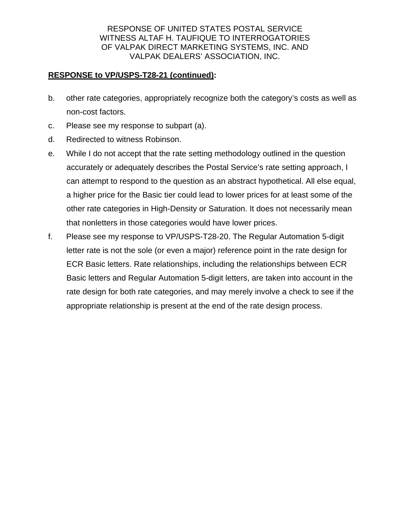### **RESPONSE to VP/USPS-T28-21 (continued):**

- b. other rate categories, appropriately recognize both the category's costs as well as non-cost factors.
- c. Please see my response to subpart (a).
- d. Redirected to witness Robinson.
- e. While I do not accept that the rate setting methodology outlined in the question accurately or adequately describes the Postal Service's rate setting approach, I can attempt to respond to the question as an abstract hypothetical. All else equal, a higher price for the Basic tier could lead to lower prices for at least some of the other rate categories in High-Density or Saturation. It does not necessarily mean that nonletters in those categories would have lower prices.
- f. Please see my response to VP/USPS-T28-20. The Regular Automation 5-digit letter rate is not the sole (or even a major) reference point in the rate design for ECR Basic letters. Rate relationships, including the relationships between ECR Basic letters and Regular Automation 5-digit letters, are taken into account in the rate design for both rate categories, and may merely involve a check to see if the appropriate relationship is present at the end of the rate design process.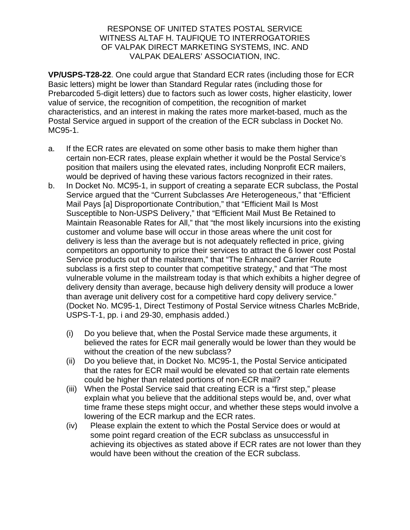**VP/USPS-T28-22**. One could argue that Standard ECR rates (including those for ECR Basic letters) might be lower than Standard Regular rates (including those for Prebarcoded 5-digit letters) due to factors such as lower costs, higher elasticity, lower value of service, the recognition of competition, the recognition of market characteristics, and an interest in making the rates more market-based, much as the Postal Service argued in support of the creation of the ECR subclass in Docket No. MC95-1.

- a. If the ECR rates are elevated on some other basis to make them higher than certain non-ECR rates, please explain whether it would be the Postal Service's position that mailers using the elevated rates, including Nonprofit ECR mailers, would be deprived of having these various factors recognized in their rates.
- b. In Docket No. MC95-1, in support of creating a separate ECR subclass, the Postal Service argued that the "Current Subclasses Are Heterogeneous," that "Efficient Mail Pays [a] Disproportionate Contribution," that "Efficient Mail Is Most Susceptible to Non-USPS Delivery," that "Efficient Mail Must Be Retained to Maintain Reasonable Rates for All," that "the most likely incursions into the existing customer and volume base will occur in those areas where the unit cost for delivery is less than the average but is not adequately reflected in price, giving competitors an opportunity to price their services to attract the 6 lower cost Postal Service products out of the mailstream," that "The Enhanced Carrier Route subclass is a first step to counter that competitive strategy," and that "The most vulnerable volume in the mailstream today is that which exhibits a higher degree of delivery density than average, because high delivery density will produce a lower than average unit delivery cost for a competitive hard copy delivery service." (Docket No. MC95-1, Direct Testimony of Postal Service witness Charles McBride, USPS-T-1, pp. i and 29-30, emphasis added.)
	- (i) Do you believe that, when the Postal Service made these arguments, it believed the rates for ECR mail generally would be lower than they would be without the creation of the new subclass?
	- (ii) Do you believe that, in Docket No. MC95-1, the Postal Service anticipated that the rates for ECR mail would be elevated so that certain rate elements could be higher than related portions of non-ECR mail?
	- (iii) When the Postal Service said that creating ECR is a "first step," please explain what you believe that the additional steps would be, and, over what time frame these steps might occur, and whether these steps would involve a lowering of the ECR markup and the ECR rates.
	- (iv) Please explain the extent to which the Postal Service does or would at some point regard creation of the ECR subclass as unsuccessful in achieving its objectives as stated above if ECR rates are not lower than they would have been without the creation of the ECR subclass.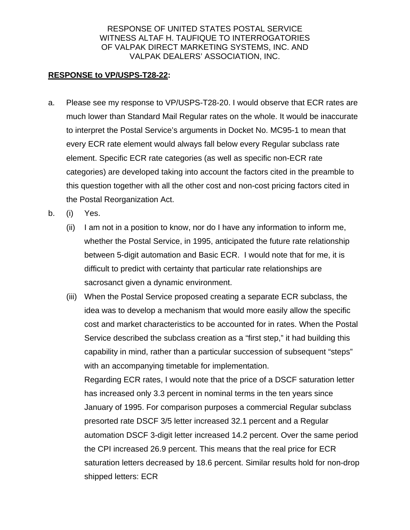### **RESPONSE to VP/USPS-T28-22:**

- a. Please see my response to VP/USPS-T28-20. I would observe that ECR rates are much lower than Standard Mail Regular rates on the whole. It would be inaccurate to interpret the Postal Service's arguments in Docket No. MC95-1 to mean that every ECR rate element would always fall below every Regular subclass rate element. Specific ECR rate categories (as well as specific non-ECR rate categories) are developed taking into account the factors cited in the preamble to this question together with all the other cost and non-cost pricing factors cited in the Postal Reorganization Act.
- b. (i) Yes.
	- (ii) I am not in a position to know, nor do I have any information to inform me, whether the Postal Service, in 1995, anticipated the future rate relationship between 5-digit automation and Basic ECR. I would note that for me, it is difficult to predict with certainty that particular rate relationships are sacrosanct given a dynamic environment.
	- (iii) When the Postal Service proposed creating a separate ECR subclass, the idea was to develop a mechanism that would more easily allow the specific cost and market characteristics to be accounted for in rates. When the Postal Service described the subclass creation as a "first step," it had building this capability in mind, rather than a particular succession of subsequent "steps" with an accompanying timetable for implementation.

Regarding ECR rates, I would note that the price of a DSCF saturation letter has increased only 3.3 percent in nominal terms in the ten years since January of 1995. For comparison purposes a commercial Regular subclass presorted rate DSCF 3/5 letter increased 32.1 percent and a Regular automation DSCF 3-digit letter increased 14.2 percent. Over the same period the CPI increased 26.9 percent. This means that the real price for ECR saturation letters decreased by 18.6 percent. Similar results hold for non-drop shipped letters: ECR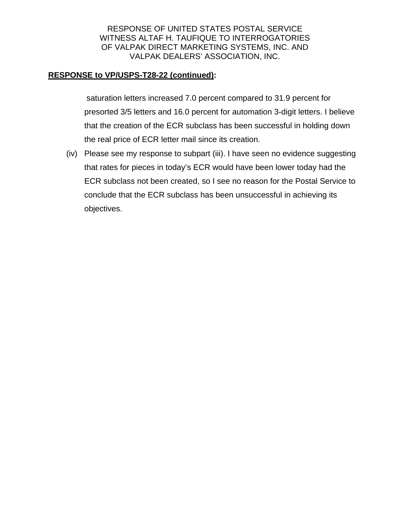### **RESPONSE to VP/USPS-T28-22 (continued):**

 saturation letters increased 7.0 percent compared to 31.9 percent for presorted 3/5 letters and 16.0 percent for automation 3-digit letters. I believe that the creation of the ECR subclass has been successful in holding down the real price of ECR letter mail since its creation.

(iv) Please see my response to subpart (iii). I have seen no evidence suggesting that rates for pieces in today's ECR would have been lower today had the ECR subclass not been created, so I see no reason for the Postal Service to conclude that the ECR subclass has been unsuccessful in achieving its objectives.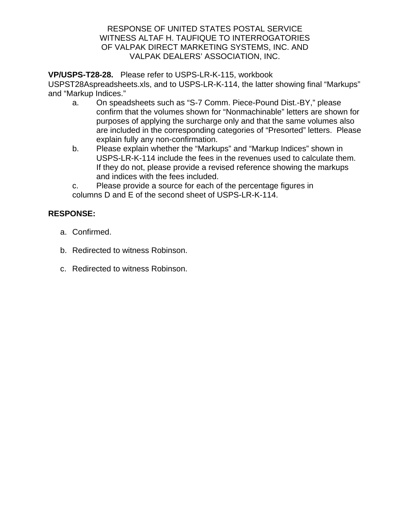**VP/USPS-T28-28.** Please refer to USPS-LR-K-115, workbook

USPST28Aspreadsheets.xls, and to USPS-LR-K-114, the latter showing final "Markups" and "Markup Indices."

- a. On speadsheets such as "S-7 Comm. Piece-Pound Dist.-BY," please confirm that the volumes shown for "Nonmachinable" letters are shown for purposes of applying the surcharge only and that the same volumes also are included in the corresponding categories of "Presorted" letters. Please explain fully any non-confirmation.
- b. Please explain whether the "Markups" and "Markup Indices" shown in USPS-LR-K-114 include the fees in the revenues used to calculate them. If they do not, please provide a revised reference showing the markups and indices with the fees included.

 c. Please provide a source for each of the percentage figures in columns D and E of the second sheet of USPS-LR-K-114.

# **RESPONSE:**

- a. Confirmed.
- b. Redirected to witness Robinson.
- c. Redirected to witness Robinson.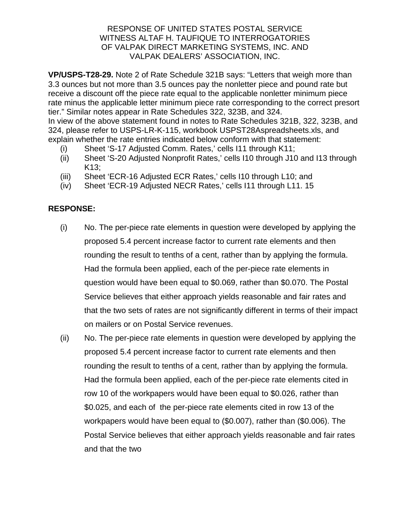**VP/USPS-T28-29.** Note 2 of Rate Schedule 321B says: "Letters that weigh more than 3.3 ounces but not more than 3.5 ounces pay the nonletter piece and pound rate but receive a discount off the piece rate equal to the applicable nonletter minimum piece rate minus the applicable letter minimum piece rate corresponding to the correct presort tier." Similar notes appear in Rate Schedules 322, 323B, and 324. In view of the above statement found in notes to Rate Schedules 321B, 322, 323B, and 324, please refer to USPS-LR-K-115, workbook USPST28Aspreadsheets.xls, and explain whether the rate entries indicated below conform with that statement:

- (i) Sheet 'S-17 Adjusted Comm. Rates,' cells I11 through K11;
- (ii) Sheet 'S-20 Adjusted Nonprofit Rates,' cells I10 through J10 and I13 through K13;
- (iii) Sheet 'ECR-16 Adjusted ECR Rates,' cells I10 through L10; and
- (iv) Sheet 'ECR-19 Adjusted NECR Rates,' cells I11 through L11. 15

# **RESPONSE:**

- (i) No. The per-piece rate elements in question were developed by applying the proposed 5.4 percent increase factor to current rate elements and then rounding the result to tenths of a cent, rather than by applying the formula. Had the formula been applied, each of the per-piece rate elements in question would have been equal to \$0.069, rather than \$0.070. The Postal Service believes that either approach yields reasonable and fair rates and that the two sets of rates are not significantly different in terms of their impact on mailers or on Postal Service revenues.
- (ii) No. The per-piece rate elements in question were developed by applying the proposed 5.4 percent increase factor to current rate elements and then rounding the result to tenths of a cent, rather than by applying the formula. Had the formula been applied, each of the per-piece rate elements cited in row 10 of the workpapers would have been equal to \$0.026, rather than \$0.025, and each of the per-piece rate elements cited in row 13 of the workpapers would have been equal to (\$0.007), rather than (\$0.006). The Postal Service believes that either approach yields reasonable and fair rates and that the two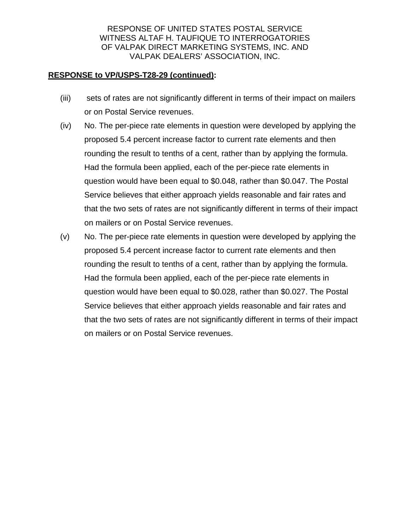### **RESPONSE to VP/USPS-T28-29 (continued):**

- (iii) sets of rates are not significantly different in terms of their impact on mailers or on Postal Service revenues.
- (iv) No. The per-piece rate elements in question were developed by applying the proposed 5.4 percent increase factor to current rate elements and then rounding the result to tenths of a cent, rather than by applying the formula. Had the formula been applied, each of the per-piece rate elements in question would have been equal to \$0.048, rather than \$0.047. The Postal Service believes that either approach yields reasonable and fair rates and that the two sets of rates are not significantly different in terms of their impact on mailers or on Postal Service revenues.
- (v) No. The per-piece rate elements in question were developed by applying the proposed 5.4 percent increase factor to current rate elements and then rounding the result to tenths of a cent, rather than by applying the formula. Had the formula been applied, each of the per-piece rate elements in question would have been equal to \$0.028, rather than \$0.027. The Postal Service believes that either approach yields reasonable and fair rates and that the two sets of rates are not significantly different in terms of their impact on mailers or on Postal Service revenues.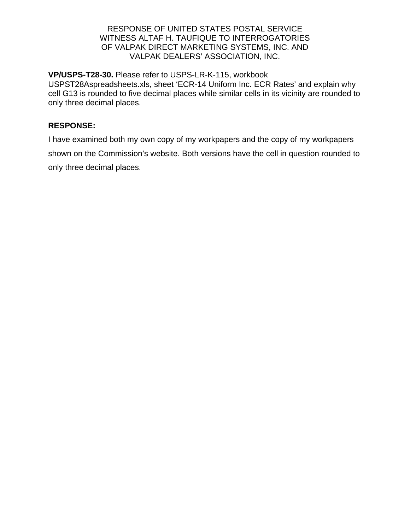**VP/USPS-T28-30.** Please refer to USPS-LR-K-115, workbook USPST28Aspreadsheets.xls, sheet 'ECR-14 Uniform Inc. ECR Rates' and explain why cell G13 is rounded to five decimal places while similar cells in its vicinity are rounded to only three decimal places.

### **RESPONSE:**

I have examined both my own copy of my workpapers and the copy of my workpapers shown on the Commission's website. Both versions have the cell in question rounded to only three decimal places.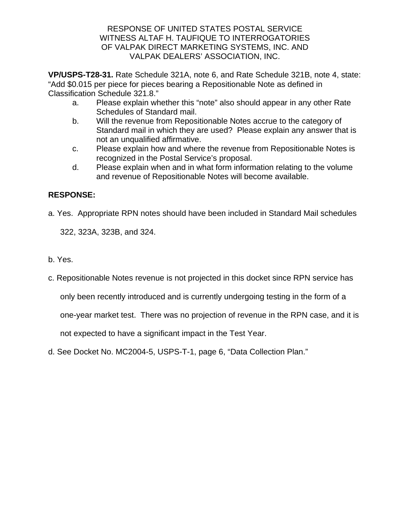**VP/USPS-T28-31.** Rate Schedule 321A, note 6, and Rate Schedule 321B, note 4, state: "Add \$0.015 per piece for pieces bearing a Repositionable Note as defined in Classification Schedule 321.8."

- a. Please explain whether this "note" also should appear in any other Rate Schedules of Standard mail.
- b. Will the revenue from Repositionable Notes accrue to the category of Standard mail in which they are used? Please explain any answer that is not an unqualified affirmative.
- c. Please explain how and where the revenue from Repositionable Notes is recognized in the Postal Service's proposal.
- d. Please explain when and in what form information relating to the volume and revenue of Repositionable Notes will become available.

# **RESPONSE:**

a. Yes. Appropriate RPN notes should have been included in Standard Mail schedules

322, 323A, 323B, and 324.

- b. Yes.
- c. Repositionable Notes revenue is not projected in this docket since RPN service has

only been recently introduced and is currently undergoing testing in the form of a

one-year market test. There was no projection of revenue in the RPN case, and it is

not expected to have a significant impact in the Test Year.

d. See Docket No. MC2004-5, USPS-T-1, page 6, "Data Collection Plan."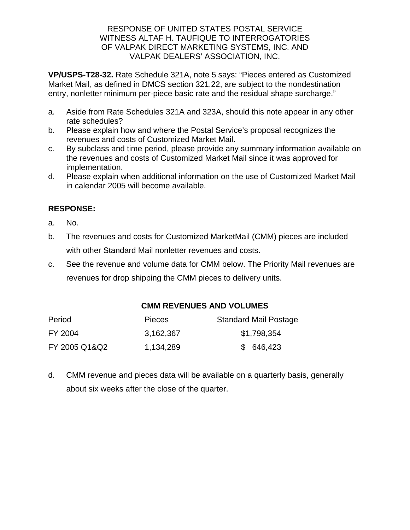**VP/USPS-T28-32.** Rate Schedule 321A, note 5 says: "Pieces entered as Customized Market Mail, as defined in DMCS section 321.22, are subject to the nondestination entry, nonletter minimum per-piece basic rate and the residual shape surcharge."

- a. Aside from Rate Schedules 321A and 323A, should this note appear in any other rate schedules?
- b. Please explain how and where the Postal Service's proposal recognizes the revenues and costs of Customized Market Mail.
- c. By subclass and time period, please provide any summary information available on the revenues and costs of Customized Market Mail since it was approved for implementation.
- d. Please explain when additional information on the use of Customized Market Mail in calendar 2005 will become available.

# **RESPONSE:**

- a. No.
- b. The revenues and costs for Customized MarketMail (CMM) pieces are included with other Standard Mail nonletter revenues and costs.
- c. See the revenue and volume data for CMM below. The Priority Mail revenues are revenues for drop shipping the CMM pieces to delivery units.

# **CMM REVENUES AND VOLUMES**

| Period        | <b>Pieces</b> | <b>Standard Mail Postage</b> |
|---------------|---------------|------------------------------|
| FY 2004       | 3,162,367     | \$1,798,354                  |
| FY 2005 Q1&Q2 | 1,134,289     | \$ 646,423                   |

d. CMM revenue and pieces data will be available on a quarterly basis, generally about six weeks after the close of the quarter.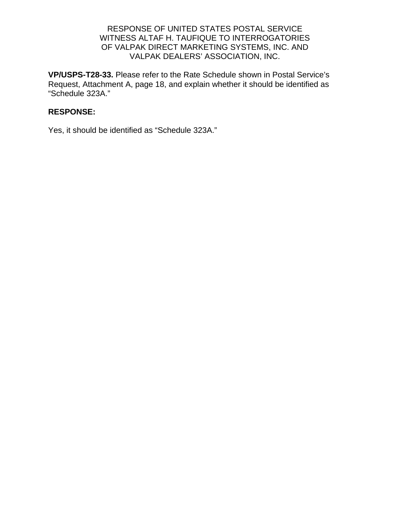**VP/USPS-T28-33.** Please refer to the Rate Schedule shown in Postal Service's Request, Attachment A, page 18, and explain whether it should be identified as "Schedule 323A."

### **RESPONSE:**

Yes, it should be identified as "Schedule 323A."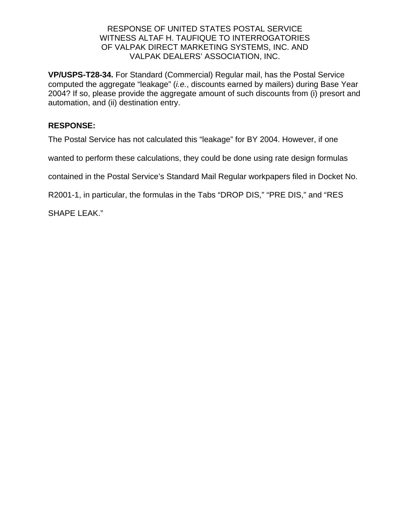**VP/USPS-T28-34.** For Standard (Commercial) Regular mail, has the Postal Service computed the aggregate "leakage" (*i.e.*, discounts earned by mailers) during Base Year 2004? If so, please provide the aggregate amount of such discounts from (i) presort and automation, and (ii) destination entry.

### **RESPONSE:**

The Postal Service has not calculated this "leakage" for BY 2004. However, if one

wanted to perform these calculations, they could be done using rate design formulas

contained in the Postal Service's Standard Mail Regular workpapers filed in Docket No.

R2001-1, in particular, the formulas in the Tabs "DROP DIS," "PRE DIS," and "RES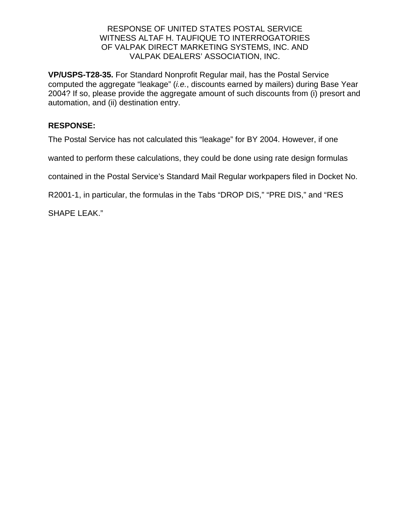**VP/USPS-T28-35.** For Standard Nonprofit Regular mail, has the Postal Service computed the aggregate "leakage" (*i.e.*, discounts earned by mailers) during Base Year 2004? If so, please provide the aggregate amount of such discounts from (i) presort and automation, and (ii) destination entry.

### **RESPONSE:**

The Postal Service has not calculated this "leakage" for BY 2004. However, if one

wanted to perform these calculations, they could be done using rate design formulas

contained in the Postal Service's Standard Mail Regular workpapers filed in Docket No.

R2001-1, in particular, the formulas in the Tabs "DROP DIS," "PRE DIS," and "RES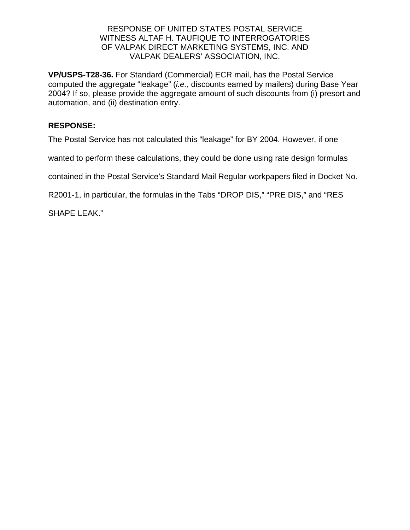**VP/USPS-T28-36.** For Standard (Commercial) ECR mail, has the Postal Service computed the aggregate "leakage" (*i.e.*, discounts earned by mailers) during Base Year 2004? If so, please provide the aggregate amount of such discounts from (i) presort and automation, and (ii) destination entry.

### **RESPONSE:**

The Postal Service has not calculated this "leakage" for BY 2004. However, if one

wanted to perform these calculations, they could be done using rate design formulas

contained in the Postal Service's Standard Mail Regular workpapers filed in Docket No.

R2001-1, in particular, the formulas in the Tabs "DROP DIS," "PRE DIS," and "RES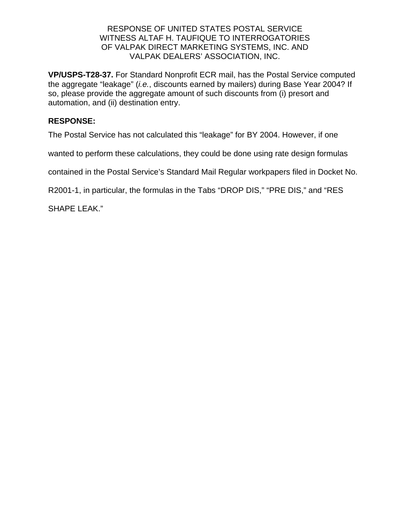**VP/USPS-T28-37.** For Standard Nonprofit ECR mail, has the Postal Service computed the aggregate "leakage" (*i.e.*, discounts earned by mailers) during Base Year 2004? If so, please provide the aggregate amount of such discounts from (i) presort and automation, and (ii) destination entry.

### **RESPONSE:**

The Postal Service has not calculated this "leakage" for BY 2004. However, if one

wanted to perform these calculations, they could be done using rate design formulas

contained in the Postal Service's Standard Mail Regular workpapers filed in Docket No.

R2001-1, in particular, the formulas in the Tabs "DROP DIS," "PRE DIS," and "RES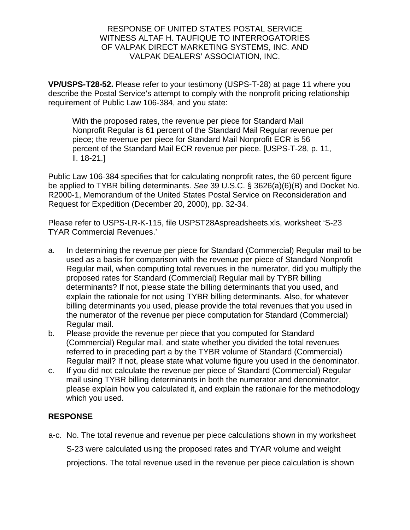**VP/USPS-T28-52.** Please refer to your testimony (USPS-T-28) at page 11 where you describe the Postal Service's attempt to comply with the nonprofit pricing relationship requirement of Public Law 106-384, and you state:

With the proposed rates, the revenue per piece for Standard Mail Nonprofit Regular is 61 percent of the Standard Mail Regular revenue per piece; the revenue per piece for Standard Mail Nonprofit ECR is 56 percent of the Standard Mail ECR revenue per piece. [USPS-T-28, p. 11, ll. 18-21.]

Public Law 106-384 specifies that for calculating nonprofit rates, the 60 percent figure be applied to TYBR billing determinants. *See* 39 U.S.C. § 3626(a)(6)(B) and Docket No. R2000-1, Memorandum of the United States Postal Service on Reconsideration and Request for Expedition (December 20, 2000), pp. 32-34.

Please refer to USPS-LR-K-115, file USPST28Aspreadsheets.xls, worksheet 'S-23 TYAR Commercial Revenues.'

- a. In determining the revenue per piece for Standard (Commercial) Regular mail to be used as a basis for comparison with the revenue per piece of Standard Nonprofit Regular mail, when computing total revenues in the numerator, did you multiply the proposed rates for Standard (Commercial) Regular mail by TYBR billing determinants? If not, please state the billing determinants that you used, and explain the rationale for not using TYBR billing determinants. Also, for whatever billing determinants you used, please provide the total revenues that you used in the numerator of the revenue per piece computation for Standard (Commercial) Regular mail.
- b. Please provide the revenue per piece that you computed for Standard (Commercial) Regular mail, and state whether you divided the total revenues referred to in preceding part a by the TYBR volume of Standard (Commercial) Regular mail? If not, please state what volume figure you used in the denominator.
- c. If you did not calculate the revenue per piece of Standard (Commercial) Regular mail using TYBR billing determinants in both the numerator and denominator, please explain how you calculated it, and explain the rationale for the methodology which you used.

# **RESPONSE**

a-c. No. The total revenue and revenue per piece calculations shown in my worksheet

S-23 were calculated using the proposed rates and TYAR volume and weight

projections. The total revenue used in the revenue per piece calculation is shown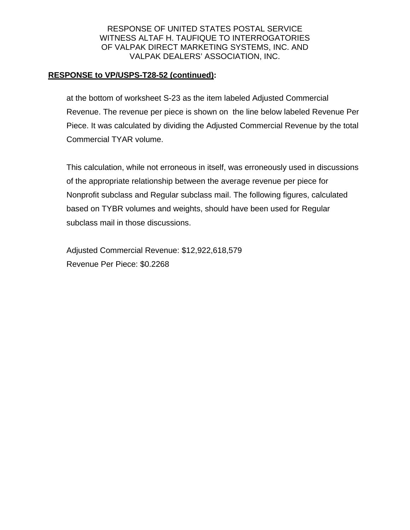### **RESPONSE to VP/USPS-T28-52 (continued):**

 at the bottom of worksheet S-23 as the item labeled Adjusted Commercial Revenue. The revenue per piece is shown on the line below labeled Revenue Per Piece. It was calculated by dividing the Adjusted Commercial Revenue by the total Commercial TYAR volume.

This calculation, while not erroneous in itself, was erroneously used in discussions of the appropriate relationship between the average revenue per piece for Nonprofit subclass and Regular subclass mail. The following figures, calculated based on TYBR volumes and weights, should have been used for Regular subclass mail in those discussions.

Adjusted Commercial Revenue: \$12,922,618,579 Revenue Per Piece: \$0.2268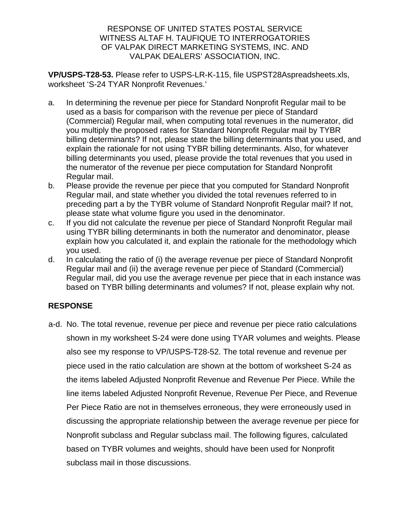**VP/USPS-T28-53.** Please refer to USPS-LR-K-115, file USPST28Aspreadsheets.xls, worksheet 'S-24 TYAR Nonprofit Revenues.'

- a. In determining the revenue per piece for Standard Nonprofit Regular mail to be used as a basis for comparison with the revenue per piece of Standard (Commercial) Regular mail, when computing total revenues in the numerator, did you multiply the proposed rates for Standard Nonprofit Regular mail by TYBR billing determinants? If not, please state the billing determinants that you used, and explain the rationale for not using TYBR billing determinants. Also, for whatever billing determinants you used, please provide the total revenues that you used in the numerator of the revenue per piece computation for Standard Nonprofit Regular mail.
- b. Please provide the revenue per piece that you computed for Standard Nonprofit Regular mail, and state whether you divided the total revenues referred to in preceding part a by the TYBR volume of Standard Nonprofit Regular mail? If not, please state what volume figure you used in the denominator.
- c. If you did not calculate the revenue per piece of Standard Nonprofit Regular mail using TYBR billing determinants in both the numerator and denominator, please explain how you calculated it, and explain the rationale for the methodology which you used.
- d. In calculating the ratio of (i) the average revenue per piece of Standard Nonprofit Regular mail and (ii) the average revenue per piece of Standard (Commercial) Regular mail, did you use the average revenue per piece that in each instance was based on TYBR billing determinants and volumes? If not, please explain why not.

# **RESPONSE**

a-d. No. The total revenue, revenue per piece and revenue per piece ratio calculations shown in my worksheet S-24 were done using TYAR volumes and weights. Please also see my response to VP/USPS-T28-52. The total revenue and revenue per piece used in the ratio calculation are shown at the bottom of worksheet S-24 as the items labeled Adjusted Nonprofit Revenue and Revenue Per Piece. While the line items labeled Adjusted Nonprofit Revenue, Revenue Per Piece, and Revenue Per Piece Ratio are not in themselves erroneous, they were erroneously used in discussing the appropriate relationship between the average revenue per piece for Nonprofit subclass and Regular subclass mail. The following figures, calculated based on TYBR volumes and weights, should have been used for Nonprofit subclass mail in those discussions.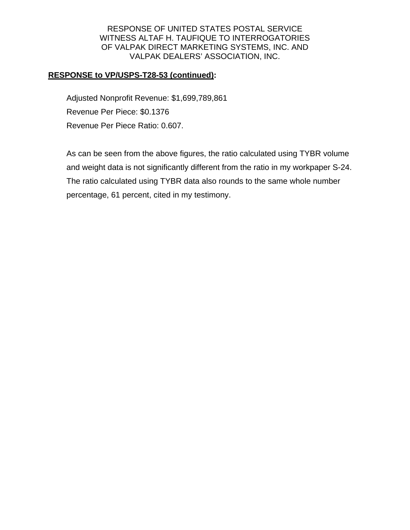### **RESPONSE to VP/USPS-T28-53 (continued):**

Adjusted Nonprofit Revenue: \$1,699,789,861 Revenue Per Piece: \$0.1376 Revenue Per Piece Ratio: 0.607.

As can be seen from the above figures, the ratio calculated using TYBR volume and weight data is not significantly different from the ratio in my workpaper S-24. The ratio calculated using TYBR data also rounds to the same whole number percentage, 61 percent, cited in my testimony.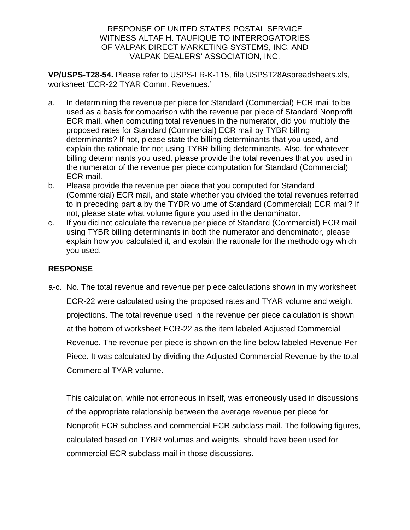**VP/USPS-T28-54.** Please refer to USPS-LR-K-115, file USPST28Aspreadsheets.xls, worksheet 'ECR-22 TYAR Comm. Revenues.'

- a. In determining the revenue per piece for Standard (Commercial) ECR mail to be used as a basis for comparison with the revenue per piece of Standard Nonprofit ECR mail, when computing total revenues in the numerator, did you multiply the proposed rates for Standard (Commercial) ECR mail by TYBR billing determinants? If not, please state the billing determinants that you used, and explain the rationale for not using TYBR billing determinants. Also, for whatever billing determinants you used, please provide the total revenues that you used in the numerator of the revenue per piece computation for Standard (Commercial) ECR mail.
- b. Please provide the revenue per piece that you computed for Standard (Commercial) ECR mail, and state whether you divided the total revenues referred to in preceding part a by the TYBR volume of Standard (Commercial) ECR mail? If not, please state what volume figure you used in the denominator.
- c. If you did not calculate the revenue per piece of Standard (Commercial) ECR mail using TYBR billing determinants in both the numerator and denominator, please explain how you calculated it, and explain the rationale for the methodology which you used.

# **RESPONSE**

a-c. No. The total revenue and revenue per piece calculations shown in my worksheet ECR-22 were calculated using the proposed rates and TYAR volume and weight projections. The total revenue used in the revenue per piece calculation is shown at the bottom of worksheet ECR-22 as the item labeled Adjusted Commercial Revenue. The revenue per piece is shown on the line below labeled Revenue Per Piece. It was calculated by dividing the Adjusted Commercial Revenue by the total Commercial TYAR volume.

This calculation, while not erroneous in itself, was erroneously used in discussions of the appropriate relationship between the average revenue per piece for Nonprofit ECR subclass and commercial ECR subclass mail. The following figures, calculated based on TYBR volumes and weights, should have been used for commercial ECR subclass mail in those discussions.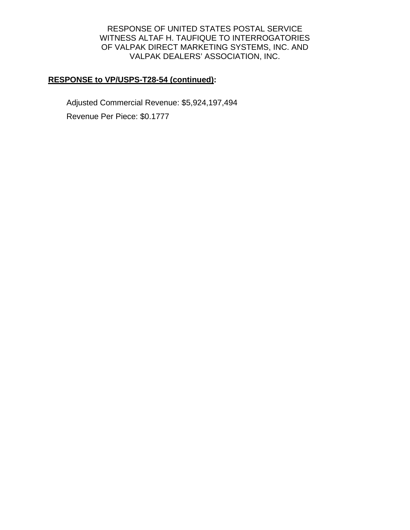# **RESPONSE to VP/USPS-T28-54 (continued):**

Adjusted Commercial Revenue: \$5,924,197,494 Revenue Per Piece: \$0.1777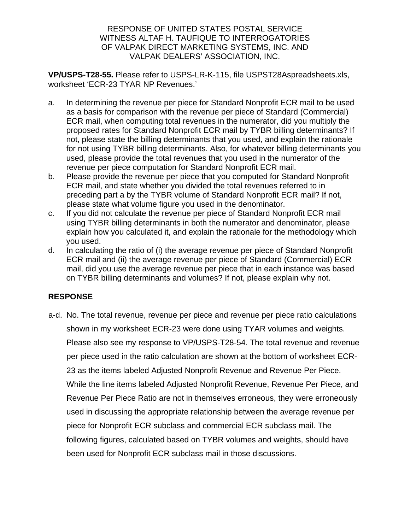**VP/USPS-T28-55.** Please refer to USPS-LR-K-115, file USPST28Aspreadsheets.xls, worksheet 'ECR-23 TYAR NP Revenues.'

- a. In determining the revenue per piece for Standard Nonprofit ECR mail to be used as a basis for comparison with the revenue per piece of Standard (Commercial) ECR mail, when computing total revenues in the numerator, did you multiply the proposed rates for Standard Nonprofit ECR mail by TYBR billing determinants? If not, please state the billing determinants that you used, and explain the rationale for not using TYBR billing determinants. Also, for whatever billing determinants you used, please provide the total revenues that you used in the numerator of the revenue per piece computation for Standard Nonprofit ECR mail.
- b. Please provide the revenue per piece that you computed for Standard Nonprofit ECR mail, and state whether you divided the total revenues referred to in preceding part a by the TYBR volume of Standard Nonprofit ECR mail? If not, please state what volume figure you used in the denominator.
- c. If you did not calculate the revenue per piece of Standard Nonprofit ECR mail using TYBR billing determinants in both the numerator and denominator, please explain how you calculated it, and explain the rationale for the methodology which you used.
- d. In calculating the ratio of (i) the average revenue per piece of Standard Nonprofit ECR mail and (ii) the average revenue per piece of Standard (Commercial) ECR mail, did you use the average revenue per piece that in each instance was based on TYBR billing determinants and volumes? If not, please explain why not.

# **RESPONSE**

a-d. No. The total revenue, revenue per piece and revenue per piece ratio calculations shown in my worksheet ECR-23 were done using TYAR volumes and weights. Please also see my response to VP/USPS-T28-54. The total revenue and revenue per piece used in the ratio calculation are shown at the bottom of worksheet ECR-23 as the items labeled Adjusted Nonprofit Revenue and Revenue Per Piece. While the line items labeled Adjusted Nonprofit Revenue, Revenue Per Piece, and Revenue Per Piece Ratio are not in themselves erroneous, they were erroneously used in discussing the appropriate relationship between the average revenue per piece for Nonprofit ECR subclass and commercial ECR subclass mail. The following figures, calculated based on TYBR volumes and weights, should have been used for Nonprofit ECR subclass mail in those discussions.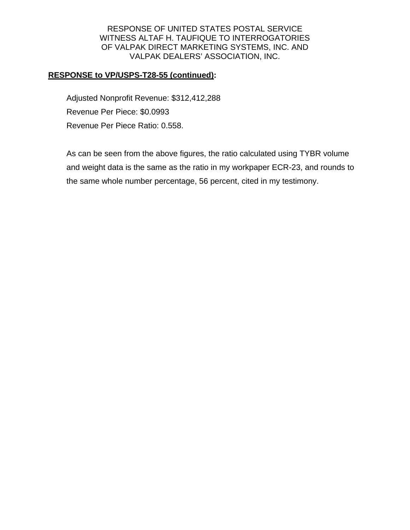### **RESPONSE to VP/USPS-T28-55 (continued):**

Adjusted Nonprofit Revenue: \$312,412,288 Revenue Per Piece: \$0.0993 Revenue Per Piece Ratio: 0.558.

As can be seen from the above figures, the ratio calculated using TYBR volume and weight data is the same as the ratio in my workpaper ECR-23, and rounds to the same whole number percentage, 56 percent, cited in my testimony.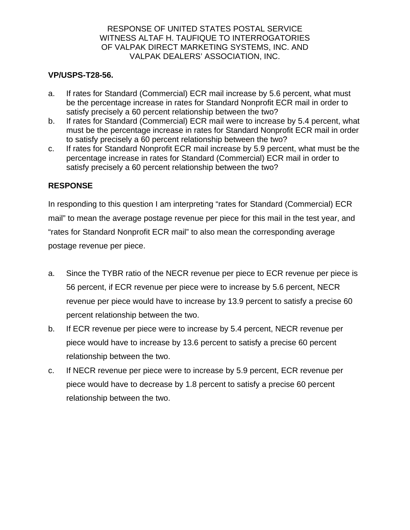### **VP/USPS-T28-56.**

- a. If rates for Standard (Commercial) ECR mail increase by 5.6 percent, what must be the percentage increase in rates for Standard Nonprofit ECR mail in order to satisfy precisely a 60 percent relationship between the two?
- b. If rates for Standard (Commercial) ECR mail were to increase by 5.4 percent, what must be the percentage increase in rates for Standard Nonprofit ECR mail in order to satisfy precisely a 60 percent relationship between the two?
- c. If rates for Standard Nonprofit ECR mail increase by 5.9 percent, what must be the percentage increase in rates for Standard (Commercial) ECR mail in order to satisfy precisely a 60 percent relationship between the two?

### **RESPONSE**

In responding to this question I am interpreting "rates for Standard (Commercial) ECR mail" to mean the average postage revenue per piece for this mail in the test year, and "rates for Standard Nonprofit ECR mail" to also mean the corresponding average postage revenue per piece.

- a. Since the TYBR ratio of the NECR revenue per piece to ECR revenue per piece is 56 percent, if ECR revenue per piece were to increase by 5.6 percent, NECR revenue per piece would have to increase by 13.9 percent to satisfy a precise 60 percent relationship between the two.
- b. If ECR revenue per piece were to increase by 5.4 percent, NECR revenue per piece would have to increase by 13.6 percent to satisfy a precise 60 percent relationship between the two.
- c. If NECR revenue per piece were to increase by 5.9 percent, ECR revenue per piece would have to decrease by 1.8 percent to satisfy a precise 60 percent relationship between the two.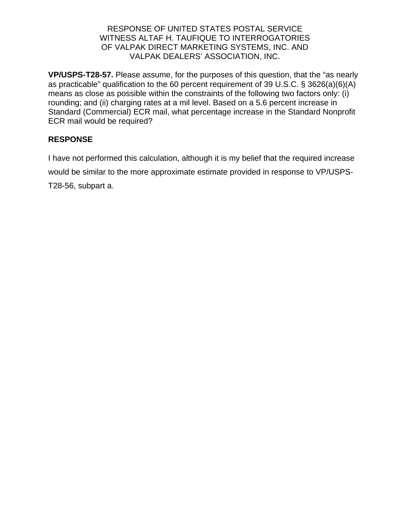**VP/USPS-T28-57.** Please assume, for the purposes of this question, that the "as nearly as practicable" qualification to the 60 percent requirement of 39 U.S.C. § 3626(a)(6)(A) means as close as possible within the constraints of the following two factors only: (i) rounding; and (ii) charging rates at a mil level. Based on a 5.6 percent increase in Standard (Commercial) ECR mail, what percentage increase in the Standard Nonprofit ECR mail would be required?

# **RESPONSE**

I have not performed this calculation, although it is my belief that the required increase would be similar to the more approximate estimate provided in response to VP/USPS-T28-56, subpart a.